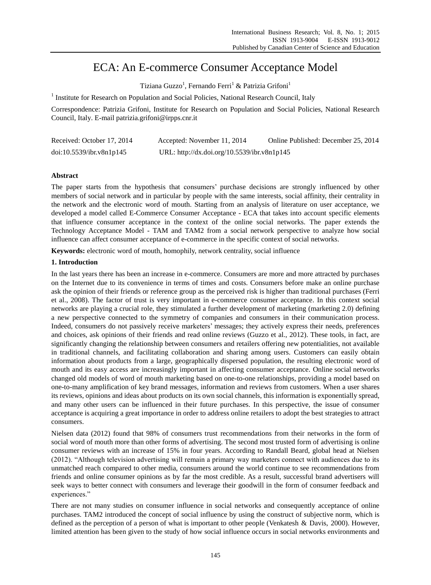# ECA: An E-commerce Consumer Acceptance Model

Tiziana Guzzo<sup>1</sup>, Fernando Ferri<sup>1</sup> & Patrizia Grifoni<sup>1</sup>

<sup>1</sup> Institute for Research on Population and Social Policies, National Research Council, Italy

Correspondence: Patrizia Grifoni, Institute for Research on Population and Social Policies, National Research Council, Italy. E-mai[l patrizia.grifoni@irpps.cnr.it](mailto:patrizia.grifoni@irpps.cnr.it)

| Received: October 17, 2014 | Accepted: November 11, 2014                 | Online Published: December 25, 2014 |
|----------------------------|---------------------------------------------|-------------------------------------|
| doi:10.5539/ibr.v8n1p145   | URL: http://dx.doi.org/10.5539/ibr.v8n1p145 |                                     |

# **Abstract**

The paper starts from the hypothesis that consumers' purchase decisions are strongly influenced by other members of social network and in particular by people with the same interests, social affinity, their centrality in the network and the electronic word of mouth. Starting from an analysis of literature on user acceptance, we developed a model called E-Commerce Consumer Acceptance - ECA that takes into account specific elements that influence consumer acceptance in the context of the online social networks. The paper extends the Technology Acceptance Model - TAM and TAM2 from a social network perspective to analyze how social influence can affect consumer acceptance of e-commerce in the specific context of social networks.

**Keywords:** electronic word of mouth, homophily, network centrality, social influence

# **1. Introduction**

In the last years there has been an increase in e-commerce. Consumers are more and more attracted by purchases on the Internet due to its convenience in terms of times and costs. Consumers before make an online purchase ask the opinion of their friends or reference group as the perceived risk is higher than traditional purchases (Ferri et al., 2008). The factor of trust is very important in e-commerce consumer acceptance. In this context social networks are playing a crucial role, they stimulated a further development of marketing (marketing 2.0) defining a new perspective connected to the symmetry of companies and consumers in their communication process. Indeed, consumers do not passively receive marketers' messages; they actively express their needs, preferences and choices, ask opinions of their friends and read online reviews (Guzzo et al., 2012). These tools, in fact, are significantly changing the relationship between consumers and retailers offering new potentialities, not available in traditional channels, and facilitating collaboration and sharing among users. Customers can easily obtain information about products from a large, geographically dispersed population, the resulting electronic word of mouth and its easy access are increasingly important in affecting consumer acceptance. Online social networks changed old models of word of mouth marketing based on one-to-one relationships, providing a model based on one-to-many amplification of key brand messages, information and reviews from customers. When a user shares its reviews, opinions and ideas about products on its own social channels, this information is exponentially spread, and many other users can be influenced in their future purchases. In this perspective, the issue of consumer acceptance is acquiring a great importance in order to address online retailers to adopt the best strategies to attract consumers.

Nielsen data (2012) found that 98% of consumers trust [recommendations](http://www.insightpool.com/influencers/) from their networks in the form of social word of mouth more than other forms of advertising. The second most trusted form of advertising is online consumer reviews with an increase of 15% in four years. According to Randall Beard, global head at Nielsen (2012). "Although television advertising will remain a primary way marketers connect with audiences due to its unmatched reach compared to other media, consumers around the world continue to see recommendations from friends and online consumer opinions as by far the most credible. As a result, successful brand advertisers will seek ways to better connect with consumers and leverage their goodwill in the form of consumer feedback and experiences."

There are not many studies on consumer influence in social networks and consequently acceptance of online purchases. TAM2 introduced the concept of social influence by using the construct of subjective norm, which is defined as the perception of a person of what is important to other people (Venkatesh & Davis, 2000). However, limited attention has been given to the study of how social influence occurs in social networks environments and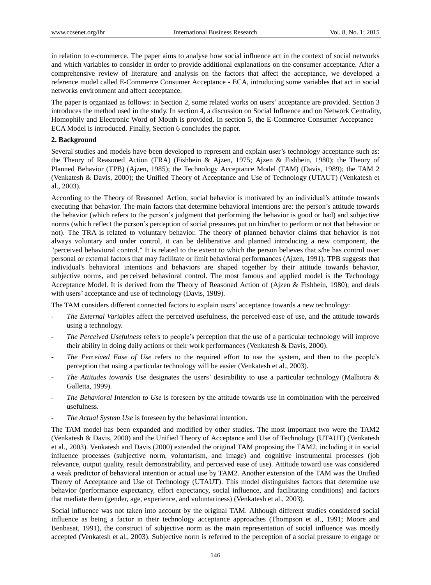in relation to e-commerce. The paper aims to analyse how social influence act in the context of social networks and which variables to consider in order to provide additional explanations on the consumer acceptance. After a comprehensive review of literature and analysis on the factors that affect the acceptance, we developed a reference model called E-Commerce Consumer Acceptance - ECA, introducing some variables that act in social networks environment and affect acceptance.

The paper is organized as follows: in Section 2, some related works on users' acceptance are provided. Section 3 introduces the method used in the study. In section 4, a discussion on Social Influence and on Network Centrality, Homophily and Electronic Word of Mouth is provided. In section 5, the E-Commerce Consumer Acceptance – ECA Model is introduced. Finally, Section 6 concludes the paper.

# **2. Background**

Several studies and models have been developed to represent and explain user's technology acceptance such as: the Theory of Reasoned Action (TRA) (Fishbein & Ajzen, 1975; Ajzen & Fishbein, 1980); the Theory of Planned Behavior (TPB) (Ajzen, 1985); the Technology Acceptance Model (TAM) (Davis, 1989); the TAM 2 (Venkatesh & Davis, 2000); the Unified Theory of Acceptance and Use of Technology (UTAUT) (Venkatesh et al., 2003).

According to the Theory of Reasoned Action, social behavior is motivated by an individual's attitude towards executing that behavior. The main factors that determine behavioral intentions are: the person's attitude towards the behavior (which refers to the person's judgment that performing the behavior is good or bad) and subjective norms (which reflect the person's perception of social pressures put on him/her to perform or not that behavior or not). The TRA is related to voluntary behavior. The theory of planned behavior claims that behavior is not always voluntary and under control, it can be deliberative and planned introducing a new component, the "perceived behavioral control." It is related to the extent to which the person believes that s/he has control over personal or external factors that may facilitate or limit behavioral performances (Ajzen, 1991). TPB suggests that individual's behavioral intentions and behaviors are shaped together by their attitude towards behavior, subjective norms, and perceived behavioral control. The most famous and applied model is the Technology Acceptance Model. It is derived from the Theory of Reasoned Action of (Ajzen & Fishbein, 1980); and deals with users' acceptance and use of technology (Davis, 1989).

The TAM considers different connected factors to explain users' acceptance towards a new technology:

- *- The External Variables* affect the perceived usefulness, the perceived ease of use, and the attitude towards using a technology.
- *- The Perceived Usefulness* refers to people's perception that the use of a particular technology will improve their ability in doing daily actions or their work performances (Venkatesh & Davis, 2000).
- *- The Perceived Ease of Use* refers to the required effort to use the system, and then to the people's perception that using a particular technology will be easier (Venkatesh et al., 2003).
- *- The Attitudes towards Use* designates the users' desirability to use a particular technology (Malhotra & Galletta, 1999).
- *- The Behavioral Intention to Use* is foreseen by the attitude towards use in combination with the perceived usefulness.
- *- The Actual System Use* is foreseen by the behavioral intention.

The TAM model has been expanded and modified by other studies. The most important two were the TAM2 (Venkatesh & Davis, 2000) and the Unified Theory of Acceptance and Use of [Technology](http://en.wikipedia.org/wiki/Unified_Theory_of_Acceptance_and_Use_of_Technology) [\(UTAUT\)](http://en.wikipedia.org/wiki/UTAUT) (Venkatesh et al., 2003). Venkatesh and Davis (2000) extended the original TAM proposing the TAM2, including it in social influence processes (subjective norm, voluntarism, and image) and cognitive instrumental processes (job relevance, output quality, result demonstrability, and perceived ease of use). Attitude toward use was considered a weak predictor of behavioral intention or actual use by TAM2. Another extension of the TAM was the Unified Theory of Acceptance and Use of Technology (UTAUT). This model distinguishes factors that determine use behavior (performance expectancy, effort expectancy, social [influence,](http://en.wikipedia.org/wiki/Social_influence) and facilitating conditions) and factors that mediate them (gender, age, experience, and voluntariness) (Venkatesh et al., 2003).

Social influence was not taken into account by the original TAM. Although different studies considered social influence as being a factor in their technology acceptance approaches (Thompson et al., 1991; Moore and Benbasat, 1991), the construct of subjective norm as the main representation of social influence was mostly accepted (Venkatesh et al., 2003). Subjective norm is referred to the perception of a social pressure to engage or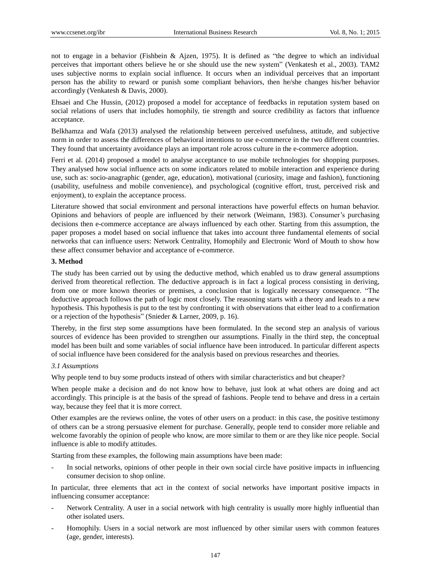not to engage in a behavior (Fishbein & Ajzen, 1975). It is defined as "the degree to which an individual perceives that important others believe he or she should use the new system" (Venkatesh et al., 2003). TAM2 uses subjective norms to explain social influence. It occurs when an individual perceives that an important person has the ability to reward or punish some compliant behaviors, then he/she changes his/her behavior accordingly (Venkatesh & Davis, 2000).

Ehsaei and Che Hussin, (2012) proposed a model for acceptance of feedbacks in reputation system based on social relations of users that includes homophily, tie strength and source credibility as factors that influence acceptance.

Belkhamza and Wafa (2013) analysed the relationship between perceived usefulness, attitude, and subjective norm in order to assess the differences of behavioral intentions to use e-commerce in the two different countries. They found that uncertainty avoidance plays an important role across culture in the e-commerce adoption.

Ferri et al. (2014) proposed a model to analyse acceptance to use mobile technologies for shopping purposes. They analysed how social influence acts on some indicators related to mobile interaction and experience during use, such as: socio-anagraphic (gender, age, education), motivational (curiosity, image and fashion), functioning (usability, usefulness and mobile convenience), and psychological (cognitive effort, trust, perceived risk and enjoyment), to explain the acceptance process.

Literature showed that social environment and personal interactions have powerful effects on human behavior. Opinions and behaviors of people are influenced by their network (Weimann, 1983). Consumer's purchasing decisions then e-commerce acceptance are always influenced by each other. Starting from this assumption, the paper proposes a model based on social influence that takes into account three fundamental elements of social networks that can influence users: Network Centrality, Homophily and Electronic Word of Mouth to show how these affect consumer behavior and acceptance of e-commerce.

## **3. Method**

The study has been carried out by using the deductive method, which enabled us to draw general assumptions derived from theoretical reflection. The deductive approach is in fact a logical process consisting in deriving, from one or more known theories or premises, a conclusion that is logically necessary consequence. "The deductive approach follows the path of logic most closely. The reasoning starts with a theory and leads to a new hypothesis. This hypothesis is put to the test by confronting it with observations that either lead to a confirmation or a rejection of the hypothesis" (Snieder & Larner, 2009, p. 16).

Thereby, in the first step some assumptions have been formulated. In the second step an analysis of various sources of evidence has been provided to strengthen our assumptions. Finally in the third step, the conceptual model has been built and some variables of social influence have been introduced. In particular different aspects of social influence have been considered for the analysis based on previous researches and theories.

## *3.1 Assumptions*

Why people tend to buy some products instead of others with similar characteristics and but cheaper?

When people make a decision and do not know how to behave, just look at what others are doing and act accordingly. This principle is at the basis of the spread of fashions. People tend to behave and dress in a certain way, because they feel that it is more correct.

Other examples are the reviews online, the votes of other users on a product: in this case, the positive testimony of others can be a strong persuasive element for purchase. Generally, people tend to consider more reliable and welcome favorably the opinion of people who know, are more similar to them or are they like nice people. Social influence is able to modify attitudes.

Starting from these examples, the following main assumptions have been made:

In social networks, opinions of other people in their own social circle have positive impacts in influencing consumer decision to shop online.

In particular, three elements that act in the context of social networks have important positive impacts in influencing consumer acceptance:

- *-* Network Centrality. A user in a social network with high centrality is usually more highly influential than other isolated users.
- *-* Homophily. Users in a social network are most influenced by other similar users with common features (age, gender, interests).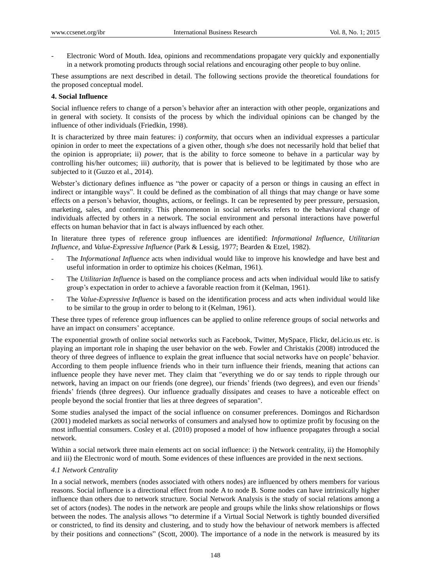*-* Electronic Word of Mouth. Idea, opinions and recommendations propagate very quickly and exponentially in a network promoting products through social relations and encouraging other people to buy online.

These assumptions are next described in detail. The following sections provide the theoretical foundations for the proposed conceptual model.

# **4. Social Influence**

Social influence refers to change of a person's behavior after an interaction with other people, organizations and in general with society. It consists of the process by which the individual opinions can be changed by the influence of other individuals (Friedkin, 1998).

It is characterized by three main features: i) *conformity,* that occurs when an individual expresses a particular opinion in order to meet the expectations of a given other, though s/he does not necessarily hold that belief that the opinion is appropriate; ii) *power,* that is the ability to force someone to behave in a particular way by controlling his/her outcomes; iii) *authority*, that is power that is believed to be legitimated by those who are subjected to it (Guzzo et al., 2014).

Webster's dictionary defines influence as "the power or capacity of a person or things in causing an effect in indirect or intangible ways". It could be defined as the combination of all things that may change or have some effects on a person's behavior, thoughts, actions, or feelings. It can be represented by peer [pressure,](http://www.businessdictionary.com/definition/pressure.html) [persuasion,](http://www.businessdictionary.com/definition/persuasion.html) [marketing,](http://www.businessdictionary.com/definition/marketer.html) [sales,](http://www.businessdictionary.com/definition/sales.html) and conformity. This phenomenon in social networks refers to the behavioral change of individuals affected by others in a network. The social environment and personal interactions have powerful effects on human behavior that in fact is always influenced by each other.

In literature three types of reference group influences are identified: *Informational Influence, Utilitarian Influence,* and *Value-Expressive Influence* (Park & Lessig, 1977; Bearden & Etzel, 1982).

- *-* The *Informational Influence* acts when individual would like to improve his knowledge and have best and useful information in order to optimize his choices (Kelman, 1961).
- *-* The *Utilitarian Influence* is based on the compliance process and acts when individual would like to satisfy group's expectation in order to achieve a favorable reaction from it (Kelman, 1961).
- *-* The *Value-Expressive Influence* is based on the identification process and acts when individual would like to be similar to the group in order to belong to it (Kelman, 1961).

These three types of reference group influences can be applied to online reference groups of social networks and have an impact on consumers' acceptance.

The exponential growth of online social networks such as Facebook, Twitter, MySpace, Flickr, del.icio.us etc. is playing an important role in shaping the user behavior on the web. Fowler and Christakis (2008) introduced the theory of three degrees of influence to explain the great influence that social networks have on people' behavior. According to them people influence friends who in their turn influence their friends, meaning that actions can influence people they have never met. They claim that "everything we do or say tends to ripple through our network, having an impact on our friends (one degree), our friends' friends (two degrees), and even our friends' friends' friends (three degrees). Our influence gradually dissipates and ceases to have a noticeable effect on people beyond the social frontier that lies at three degrees of separation".

Some studies analysed the impact of the social influence on consumer preferences. Domingos and Richardson (2001) modeled markets as social networks of consumers and analysed how to optimize profit by focusing on the most influential consumers. Cosley et al. (2010) proposed a model of how influence propagates through a social network.

Within a social network three main elements act on social influence: i) the Network centrality, ii) the Homophily and iii) the Electronic word of mouth. Some evidences of these influences are provided in the next sections.

## *4.1 Network Centrality*

In a social network, members (nodes associated with others nodes) are influenced by others members for various reasons. Social influence is a directional effect from node A to node B. Some nodes can have intrinsically higher influence than others due to network structure. Social Network Analysis is the study of social relations among a set of actors (nodes). The nodes in the network are people and groups while the links show relationships or flows between the nodes. The analysis allows "to determine if a Virtual Social Network is tightly bounded diversified or constricted, to find its density and clustering, and to study how the behaviour of network members is affected by their positions and connections" (Scott, 2000). The importance of a node in the network is measured by its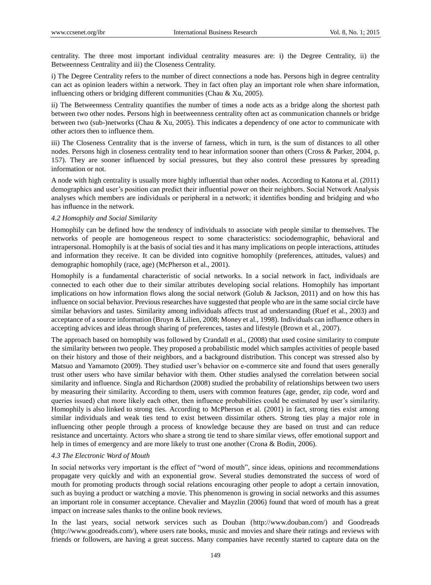centrality. The three most important individual centrality measures are: i) the Degree Centrality, ii) the Betweenness Centrality and iii) the Closeness Centrality.

i) The Degree Centrality refers to the number of direct connections a node has. Persons high in degree centrality can act as opinion leaders within a network. They in fact often play an important role when share information, influencing others or bridging different communities (Chau & Xu, 2005).

ii) The Betweenness Centrality quantifies the number of times a node acts as a bridge along the shortest path between two other nodes. Persons high in beetweenness centrality often act as communication channels or bridge between two (sub-)networks (Chau & Xu, 2005). This indicates a dependency of one actor to communicate with other actors then to influence them.

iii) The Closeness Centrality that is the inverse of farness, which in turn, is the sum of distances to all other nodes. Persons high in closeness centrality tend to hear information sooner than others (Cross & Parker, 2004, p. 157). They are sooner influenced by social pressures, but they also control these pressures by spreading information or not.

A node with high centrality is usually more highly influential than other nodes. According to Katona et al. (2011) demographics and user's position can predict their influential power on their neighbors. Social Network Analysis analyses which members are individuals or peripheral in a network; it identifies bonding and bridging and who has influence in the network.

#### *4.2 Homophily and Social Similarity*

Homophily can be defined how the tendency of individuals to associate with people similar to themselves. The networks of people are homogeneous respect to some characteristics: sociodemographic, behavioral and intrapersonal. Homophily is at the basis of social ties and it has many implications on people interactions, attitudes and information they receive. It can be divided into cognitive homophily (preferences, attitudes, values) and demographic homophily (race, age) (McPherson et al., 2001).

Homophily is a fundamental characteristic of social networks. In a social network in fact, individuals are connected to each other due to their similar attributes developing social relations. Homophily has important implications on how information flows along the social network (Golub & Jackson, 2011) and on how this has influence on social behavior. Previous researches have suggested that people who are in the same social circle have similar behaviors and tastes. Similarity among individuals affects trust ad understanding (Ruef et al., 2003) and acceptance of a source information (Bruyn & Lilien, 2008; Money et al., 1998). Individuals can influence others in accepting advices and ideas through sharing of preferences, tastes and lifestyle (Brown et al., 2007).

The approach based on homophily was followed by Crandall et al., (2008) that used cosine similarity to compute the similarity between two people. They proposed a probabilistic model which samples activities of people based on their history and those of their neighbors, and a background distribution. This concept was stressed also by Matsuo and Yamamoto (2009). They studied user's behavior on e-commerce site and found that users generally trust other users who have similar behavior with them. Other studies analysed the correlation between social similarity and influence. Singla and Richardson (2008) studied the probability of relationships between two users by measuring their similarity. According to them, users with common features (age, gender, zip code, word and queries issued) chat more likely each other, then influence probabilities could be estimated by user's similarity. Homophily is also linked to strong ties. According to McPherson et al. (2001) in fact, strong ties exist among similar individuals and weak ties tend to exist between dissimilar others. Strong ties play a major role in influencing other people through a process of knowledge because they are based on trust and can reduce resistance and uncertainty. Actors who share a strong tie tend to share similar views, offer emotional support and help in times of emergency and are more likely to trust one another (Crona & Bodin, 2006).

#### *4.3 The Electronic Word of Mouth*

In social networks very important is the effect of "word of mouth", since ideas, opinions and recommendations propagate very quickly and with an exponential grow. Several studies demonstrated the success of word of mouth for promoting products through social relations encouraging other people to adopt a certain innovation, such as buying a product or watching a movie. This phenomenon is growing in social networks and this assumes an important role in consumer acceptance. Chevalier and Mayzlin (2006) found that word of mouth has a great impact on increase sales thanks to the online book reviews.

In the last years, social network services such as Douban [\(http://www.douban.com/\)](http://www.douban.com/) and Goodreads [\(http://www.goodreads.com/\)](http://www.goodreads.com/), where users rate books, music and movies and share their ratings and reviews with friends or followers, are having a great success. Many companies have recently started to capture data on the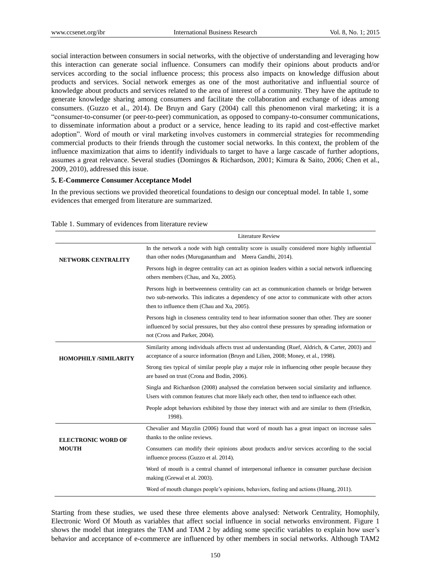social interaction between consumers in social networks, with the objective of understanding and leveraging how this interaction can generate social influence. Consumers can modify their opinions about products and/or services according to the social influence process; this process also impacts on knowledge diffusion about products and services. Social network emerges as one of the most authoritative and influential source of knowledge about products and services related to the area of interest of a community. They have the aptitude to generate knowledge sharing among consumers and facilitate the collaboration and exchange of ideas among consumers. (Guzzo et al., 2014). De Bruyn and Gary (2004) call this phenomenon viral marketing; it is a "consumer-to-consumer (or peer-to-peer) communication, as opposed to company-to-consumer communications, to disseminate information about a product or a service, hence leading to its rapid and cost-effective market adoption". Word of mouth or viral marketing involves customers in commercial strategies for recommending commercial products to their friends through the customer social networks. In this context, the problem of the influence maximization that aims to identify individuals to target to have a large cascade of further adoptions, assumes a great relevance. Several studies (Domingos & Richardson, 2001; Kimura & Saito, 2006; Chen et al., 2009, 2010), addressed this issue.

#### **5. E-Commerce Consumer Acceptance Model**

In the previous sections we provided theoretical foundations to design our conceptual model. In table 1, some evidences that emerged from literature are summarized.

|                                           | <b>Literature Review</b>                                                                                                                                                                                                                  |  |
|-------------------------------------------|-------------------------------------------------------------------------------------------------------------------------------------------------------------------------------------------------------------------------------------------|--|
| <b>NETWORK CENTRALITY</b>                 | In the network a node with high centrality score is usually considered more highly influential<br>than other nodes (Muruganantham and Meera Gandhi, 2014).                                                                                |  |
|                                           | Persons high in degree centrality can act as opinion leaders within a social network influencing<br>others members (Chau, and Xu, 2005).                                                                                                  |  |
|                                           | Persons high in beetweenness centrality can act as communication channels or bridge between<br>two sub-networks. This indicates a dependency of one actor to communicate with other actors<br>then to influence them (Chau and Xu, 2005). |  |
|                                           | Persons high in closeness centrality tend to hear information sooner than other. They are sooner<br>influenced by social pressures, but they also control these pressures by spreading information or<br>not (Cross and Parker, 2004).    |  |
| <b>HOMOPHILY/SIMILARITY</b>               | Similarity among individuals affects trust ad understanding (Ruef, Aldrich, & Carter, 2003) and<br>acceptance of a source information (Bruyn and Lilien, 2008; Money, et al., 1998).                                                      |  |
|                                           | Strong ties typical of similar people play a major role in influencing other people because they<br>are based on trust (Crona and Bodin, 2006).                                                                                           |  |
|                                           | Singla and Richardson (2008) analysed the correlation between social similarity and influence.<br>Users with common features chat more likely each other, then tend to influence each other.                                              |  |
|                                           | People adopt behaviors exhibited by those they interact with and are similar to them (Friedkin,<br>1998).                                                                                                                                 |  |
| <b>ELECTRONIC WORD OF</b><br><b>MOUTH</b> | Chevalier and Mayzlin (2006) found that word of mouth has a great impact on increase sales<br>thanks to the online reviews.                                                                                                               |  |
|                                           | Consumers can modify their opinions about products and/or services according to the social<br>influence process (Guzzo et al. 2014).                                                                                                      |  |
|                                           | Word of mouth is a central channel of interpersonal influence in consumer purchase decision<br>making (Grewal et al. 2003).                                                                                                               |  |
|                                           | Word of mouth changes people's opinions, behaviors, feeling and actions (Huang, 2011).                                                                                                                                                    |  |

Table 1. Summary of evidences from literature review

Starting from these studies, we used these three elements above analysed: Network Centrality, Homophily, Electronic Word Of Mouth as variables that affect social influence in social networks environment. Figure 1 shows the model that integrates the TAM and TAM 2 by adding some specific variables to explain how user's behavior and acceptance of e-commerce are influenced by other members in social networks. Although TAM2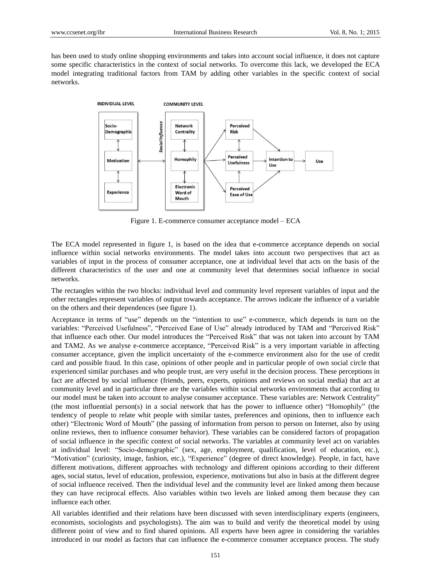has been used to study online shopping environments and takes into account social influence, it does not capture some specific characteristics in the context of social networks. To overcome this lack, we developed the ECA model integrating traditional factors from TAM by adding other variables in the specific context of social networks.



Figure 1. E-commerce consumer acceptance model – ECA

The ECA model represented in figure 1, is based on the idea that e-commerce acceptance depends on social influence within social networks environments. The model takes into account two perspectives that act as variables of input in the process of consumer acceptance, one at individual level that acts on the basis of the different characteristics of the user and one at community level that determines social influence in social networks.

The rectangles within the two blocks: individual level and community level represent variables of input and the other rectangles represent variables of output towards acceptance. The arrows indicate the influence of a variable on the others and their dependences (see figure 1).

Acceptance in terms of "use" depends on the "intention to use" e-commerce, which depends in turn on the variables: "Perceived Usefulness", "Perceived Ease of Use" already introduced by TAM and "Perceived Risk" that influence each other. Our model introduces the "Perceived Risk" that was not taken into account by TAM and TAM2. As we analyse e-commerce acceptance, "Perceived Risk" is a very important variable in affecting consumer acceptance, given the implicit uncertainty of the e-commerce environment also for the use of credit card and possible fraud. In this case, opinions of other people and in particular people of own social circle that experienced similar purchases and who people trust, are very useful in the decision process. These perceptions in fact are affected by social influence (friends, peers, experts, opinions and reviews on social media) that act at community level and in particular three are the variables within social networks environments that according to our model must be taken into account to analyse consumer acceptance. These variables are: Network Centrality" (the most influential person(s) in a social [network](http://en.wikipedia.org/wiki/Social_network) that has the power to influence other) "Homophily" (the tendency of people to relate whit people with similar tastes, preferences and opinions, then to influence each other) "Electronic Word of Mouth" (the passing of [information](http://en.wikipedia.org/wiki/Information) from person to person on Internet, also by using online reviews, then to influence consumer behavior). These variables can be considered factors of propagation of social influence in the specific context of social networks. The variables at community level act on variables at individual level: "Socio-demographic" (sex, age, employment, qualification, level of education, etc.), "Motivation" (curiosity, image, fashion, etc.), "Experience" (degree of direct knowledge). People, in fact, have different motivations, different approaches with technology and different opinions according to their different ages, social status, level of education, profession, experience, motivations but also in basis at the different degree of social influence received. Then the individual level and the community level are linked among them because they can have reciprocal effects. Also variables within two levels are linked among them because they can influence each other.

All variables identified and their relations have been discussed with seven interdisciplinary experts (engineers, economists, sociologists and psychologists). The aim was to build and verify the theoretical model by using different point of view and to find shared opinions. All experts have been agree in considering the variables introduced in our model as factors that can influence the e-commerce consumer acceptance process. The study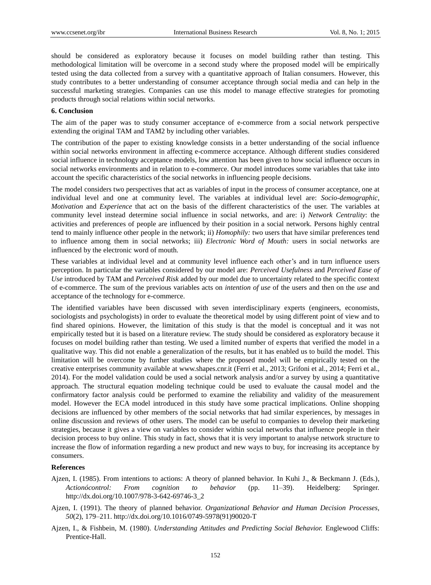should be considered as exploratory because it focuses on model building rather than testing. This methodological limitation will be overcome in a second study where the proposed model will be empirically tested using the data collected from a survey with a quantitative approach of Italian consumers. However, this study contributes to a better understanding of consumer acceptance through social media and can help in the successful marketing strategies. Companies can use this model to manage effective strategies for promoting products through social relations within social networks.

## **6. Conclusion**

The aim of the paper was to study consumer acceptance of e-commerce from a social network perspective extending the original TAM and TAM2 by including other variables.

The contribution of the paper to existing knowledge consists in a better understanding of the social influence within social networks environment in affecting e-commerce acceptance. Although different studies considered social influence in technology acceptance models, low attention has been given to how social influence occurs in social networks environments and in relation to e-commerce. Our model introduces some variables that take into account the specific characteristics of the social networks in influencing people decisions.

The model considers two perspectives that act as variables of input in the process of consumer acceptance, one at individual level and one at community level. The variables at individual level are: *Socio-demographic, Motivation* and *Experience* that act on the basis of the different characteristics of the user. The variables at community level instead determine social influence in social networks, and are: i) *Network Centrality*: the activities and preferences of people are influenced by their position in a social network. Persons highly central tend to mainly influence other people in the network; ii) *Homophily:* two users that have similar preferences tend to influence among them in social networks; iii) *Electronic Word of Mouth:* users in social networks are influenced by the electronic word of mouth.

These variables at individual level and at community level influence each other's and in turn influence users perception. In particular the variables considered by our model are: *Perceived Usefulness* and *Perceived Ease of Use* introduced by TAM and *Perceived Risk* added by our model due to uncertainty related to the specific context of e-commerce. The sum of the previous variables acts on *intention of use* of the users and then on the *use* and acceptance of the technology for e-commerce.

The identified variables have been discussed with seven interdisciplinary experts (engineers, economists, sociologists and psychologists) in order to evaluate the theoretical model by using different point of view and to find shared opinions. However, the limitation of this study is that the model is conceptual and it was not empirically tested but it is based on a literature review. The study should be considered as exploratory because it focuses on model building rather than testing. We used a limited number of experts that verified the model in a qualitative way. This did not enable a generalization of the results, but it has enabled us to build the model. This limitation will be overcome by further studies where the proposed model will be empirically tested on the creative enterprises community available at www.shapes.cnr.it (Ferri et al., 2013; Grifoni et al., 2014; Ferri et al., 2014). For the model validation could be used a social network analysis and/or a survey by using a quantitative approach. The structural equation modeling technique could be used to evaluate the causal model and the confirmatory factor analysis could be performed to examine the reliability and validity of the measurement model. However the ECA model introduced in this study have some practical implications. Online shopping decisions are influenced by other members of the social networks that had similar experiences, by messages in online discussion and reviews of other users. The model can be useful to companies to develop their marketing strategies, because it gives a view on variables to consider within social networks that influence people in their decision process to buy online. This study in fact, shows that it is very important to analyse network structure to increase the flow of information regarding a new product and new ways to buy, for increasing its acceptance by consumers.

#### **References**

- Ajzen, I. (1985). From intentions to actions: A theory of planned behavior. In Kuhi J., & Beckmann J. (Eds.), *Actionócontrol: From cognition to behavior* (pp. 11–39). Heidelberg: Springer. [http://dx.doi.org/10.1007/978-3-642-69746-3\\_2](http://dx.doi.org/10.1007/978-3-642-69746-3_2)
- Ajzen, I. (1991). The theory of planned behavior. *Organizational Behavior and Human Decision Processes, 50*(2), 179–211. [http://dx.doi.org/10.1016/0749-5978\(91\)90020-T](http://dx.doi.org/10.1016/0749-5978(91)90020-T)
- Ajzen, I., & Fishbein, M. (1980). *Understanding Attitudes and Predicting Social Behavior.* Englewood Cliffs: Prentice-Hall.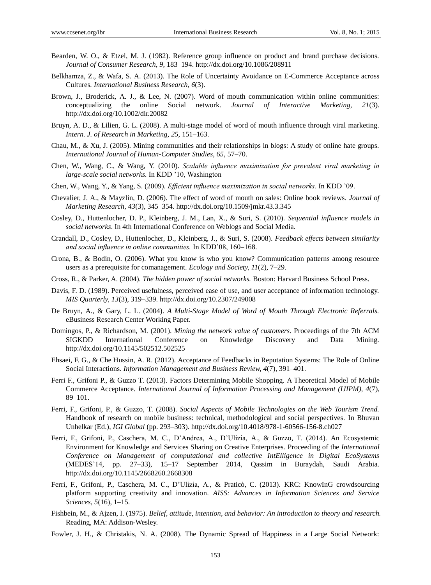- Bearden, W. O., & Etzel, M. J. (1982). Reference group influence on product and brand purchase decisions. *Journal of Consumer Research, 9*, 183–194.<http://dx.doi.org/10.1086/208911>
- Belkhamza, Z., & Wafa, S. A. (2013). The Role of Uncertainty Avoidance on E-Commerce Acceptance across Cultures*. International Business Research, 6*(3).
- Brown, J., Broderick, A. J., & Lee, N. (2007). Word of mouth communication within online communities: conceptualizing the online Social network. *Journal of Interactive Marketing, 21*(3). <http://dx.doi.org/10.1002/dir.20082>
- Bruyn, A. D., & Lilien, G. L. (2008). A multi-stage model of word of mouth influence through viral marketing. *Intern. J. of Research in Marketing, 25*, 151–163.
- Chau, M., & Xu, J. (2005). Mining communities and their relationships in blogs: A study of online hate groups. *International Journal of Human-Computer Studies, 65*, 57–70.
- Chen, W., Wang, C., & Wang, Y. (2010). *Scalable influence maximization for prevalent viral marketing in large-scale social networks.* In KDD '10, Washington
- Chen, W., Wang, Y., & Yang, S. (2009). *Efficient influence maximization in social networks.* In KDD '09.
- Chevalier, J. A., & Mayzlin, D. (2006). The effect of word of mouth on sales: Online book reviews*. Journal of Marketing Research, 43*(3), 345–354[. http://dx.doi.org/10.1509/jmkr.43.3.345](http://dx.doi.org/10.1509/jmkr.43.3.345)
- Cosley, D., Huttenlocher, D. P., Kleinberg, J. M., Lan, X., & Suri, S. (2010). *Sequential influence models in social networks*. In 4th International Conference on Weblogs and Social Media.
- Crandall, D., Cosley, D., Huttenlocher, D., Kleinberg, J., & Suri, S. (2008). *Feedback effects between similarity and social influence in online communities.* In KDD'08, 160–168.
- Crona, B., & Bodin, O. (2006). What you know is who you know? Communication patterns among resource users as a prerequisite for comanagement. *Ecology and Society, 11*(2), 7–29.
- Cross, R., & Parker, A. (2004). *The hidden power of social networks.* Boston: Harvard Business School Press.
- Davis, F. D. (1989). Perceived usefulness, perceived ease of use, and user acceptance of information technology. *MIS Quarterly, 13*(3), 319–339[. http://dx.doi.org/10.2307/249008](http://dx.doi.org/10.2307/249008)
- De Bruyn, A., & Gary, L. L. (2004). *A Multi-Stage Model of Word of Mouth Through Electronic Referrals.* eBusiness Research Center Working Paper.
- Domingos, P., & Richardson, M. (2001). *Mining the network value of customers.* Proceedings of the 7th ACM SIGKDD International Conference on Knowledge Discovery and Data Mining. <http://dx.doi.org/10.1145/502512.502525>
- Ehsaei, F. G., & Che Hussin, A. R. (2012). Acceptance of Feedbacks in Reputation Systems: The Role of Online Social Interactions. *Information Management and Business Review, 4*(7), 391–401.
- Ferri F., Grifoni P., & Guzzo T. (2013). Factors Determining Mobile Shopping. A Theoretical Model of Mobile Commerce Acceptance. *International Journal of Information Processing and Management (IJIPM), 4*(7), 89–101.
- Ferri, F., Grifoni, P., & Guzzo, T. (2008). *Social Aspects of Mobile Technologies on the Web Tourism Trend.* Handbook of research on mobile business: technical, methodological and social perspectives. In Bhuvan Unhelkar (Ed.), *IGI Global* (pp. 293–303).<http://dx.doi.org/10.4018/978-1-60566-156-8.ch027>
- Ferri, F., Grifoni, P., Caschera, M. C., D'Andrea, A., D'Ulizia, A., & Guzzo, T. (2014). An Ecosystemic Environment for Knowledge and Services Sharing on Creative Enterprises. Proceeding of the *International Conference on Management of computational and collective IntElligence in Digital EcoSystems*  (MEDES'14, pp. 27–33), 15–17 September 2014, Qassim in Buraydah, Saudi Arabia. <http://dx.doi.org/10.1145/2668260.2668308>
- Ferri, F., Grifoni, P., Caschera, M. C., D'Ulizia, A., & Praticò, C. (2013). KRC: KnowInG crowdsourcing platform supporting creativity and innovation. *AISS: Advances in Information Sciences and Service Sciences, 5*(16), 1–15.
- Fishbein, M., & Ajzen, I. (1975). *Belief, attitude, intention, and behavior: An introduction to theory and research.*  Reading, MA: Addison-Wesley.
- Fowler, J. H., & Christakis, N. A. (2008). The Dynamic Spread of Happiness in a Large Social Network: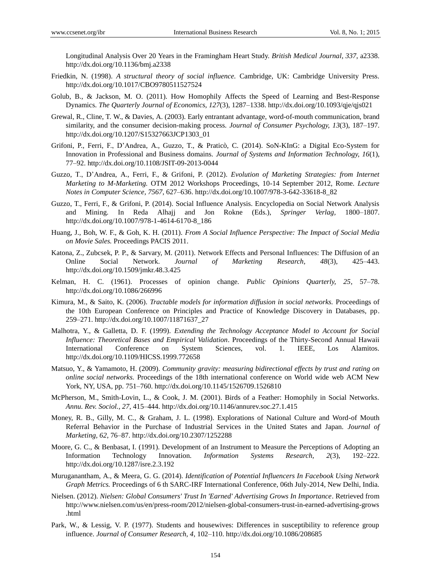Longitudinal Analysis Over 20 Years in the Framingham Heart Study. *British Medical Journal, 337*, a2338. <http://dx.doi.org/10.1136/bmj.a2338>

- Friedkin, N. (1998). *A structural theory of social influence.* Cambridge, UK: Cambridge University Press. <http://dx.doi.org/10.1017/CBO9780511527524>
- Golub, B., & Jackson, M. O. (2011). How Homophily Affects the Speed of Learning and Best-Response Dynamics. *The Quarterly Journal of Economics, 127*(3), 1287–1338[. http://dx.doi.org/10.1093/qje/qjs021](http://dx.doi.org/10.1093/qje/qjs021)
- Grewal, R., Cline, T. W., & Davies, A. (2003). Early entrantant advantage, word-of-mouth communication, brand similarity, and the consumer decision-making process. *Journal of Consumer Psychology, 13*(3), 187–197. [http://dx.doi.org/10.1207/S15327663JCP1303\\_01](http://dx.doi.org/10.1207/S15327663JCP1303_01)
- Grifoni, P., Ferri, F., D'Andrea, A., Guzzo, T., & Praticò, C. (2014). SoN-KInG: a Digital Eco-System for Innovation in Professional and Business domains. *Journal of Systems and Information Technology, 16*(1), 77–92.<http://dx.doi.org/10.1108/JSIT-09-2013-0044>
- Guzzo, T., D'Andrea, A., Ferri, F., & Grifoni, P. (2012). *Evolution of Marketing Strategies: from Internet Marketing to M-Marketing.* OTM 2012 Workshops Proceedings, 10-14 September 2012, Rome. *Lecture Notes in Computer Science, 7567*, 627–636[. http://dx.doi.org/10.1007/978-3-642-33618-8\\_82](http://dx.doi.org/10.1007/978-3-642-33618-8_82)
- Guzzo, T., Ferri, F., & Grifoni, P. (2014). Social Influence Analysis. Encyclopedia on Social Network Analysis and Mining. In Reda Alhajj and Jon Rokne (Eds.), *Springer Verlag,* 1800–1807. [http://dx.doi.org/10.1007/978-1-4614-6170-8\\_186](http://dx.doi.org/10.1007/978-1-4614-6170-8_186)
- Huang, J., Boh, W. F., & Goh, K. H. (2011). *From A Social Influence Perspective: The Impact of Social Media on Movie Sales.* Proceedings PACIS 2011.
- Katona, Z., Zubcsek, P. P., & Sarvary, M. (2011). Network Effects and Personal Influences: The Diffusion of an Online Social Network. *Journal of Marketing Research, 48*(3), 425–443. <http://dx.doi.org/10.1509/jmkr.48.3.425>
- Kelman, H. C. (1961). Processes of opinion change*. Public Opinions Quarterly, 25*, 57–78. <http://dx.doi.org/10.1086/266996>
- Kimura, M., & Saito, K. (2006). *Tractable models for information diffusion in social networks.* Proceedings of the 10th European Conference on Principles and Practice of Knowledge Discovery in Databases, pp. 259–271. [http://dx.doi.org/10.1007/11871637\\_27](http://dx.doi.org/10.1007/11871637_27)
- Malhotra, Y., & Galletta, D. F. (1999). *Extending the Technology Acceptance Model to Account for Social Influence: Theoretical Bases and Empirical Validation*. Proceedings of the Thirty-Second Annual Hawaii International Conference on System Sciences, vol. 1. IEEE, Los Alamitos. <http://dx.doi.org/10.1109/HICSS.1999.772658>
- Matsuo, Y., & Yamamoto, H. (2009). *Community gravity: measuring bidirectional effects by trust and rating on online social networks.* Proceedings of the 18th international conference on World wide web ACM New York, NY, USA, pp. 751–760[. http://dx.doi.org/10.1145/1526709.1526810](http://dx.doi.org/10.1145/1526709.1526810)
- McPherson, M., Smith-Lovin, L., & Cook, J. M. (2001). Birds of a Feather: Homophily in Social Networks. *Annu. Rev. Sociol., 27*, 415–444.<http://dx.doi.org/10.1146/annurev.soc.27.1.415>
- Money, R. B., Gilly, M. C., & Graham, J. L. (1998). Explorations of National Culture and Word-of Mouth Referral Behavior in the Purchase of Industrial Services in the United States and Japan. *Journal of Marketing, 62*, 76–87[. http://dx.doi.org/10.2307/1252288](http://dx.doi.org/10.2307/1252288)
- Moore, G. C., & Benbasat, I. (1991). Development of an Instrument to Measure the Perceptions of Adopting an Information Technology Innovation. *Information Systems Research, 2*(3), 192–222. <http://dx.doi.org/10.1287/isre.2.3.192>
- Muruganantham, A., & Meera, G. G. (2014). *Identification of Potential Influencers In Facebook Using Network Graph Metrics.* Proceedings of 6 th SARC-IRF International Conference, 06th July-2014, New Delhi, India.
- Nielsen. (2012). *[Nielsen: Global Consumers' Trust In 'Earned' Advertising Grows In Importance](http://www.nielsen.com/us/en/press-room/2012/nielsen-global-consumers-trust-in-earned-advertising-grows.html)*. Retrieved from [http://www.nielsen.com/us/en/press-room/2012/nielsen-global-consumers-trust-in-earned-advertising-grows](http://www.nielsen.com/us/en/press-room/2012/nielsen-global-consumers-trust-in-earned-advertising-grows.html) [.html](http://www.nielsen.com/us/en/press-room/2012/nielsen-global-consumers-trust-in-earned-advertising-grows.html)
- Park, W., & Lessig, V. P. (1977). Students and housewives: Differences in susceptibility to reference group influence. *Journal of Consumer Research, 4*, 102–110.<http://dx.doi.org/10.1086/208685>